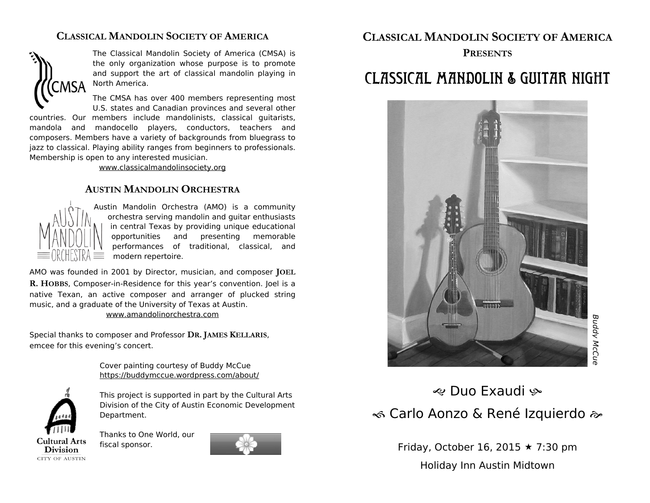### **CLASSICAL MANDOLIN SOCIETY OF AMERICA**



The Classical Mandolin Society of America (CMSA) is the only organization whose purpose is to promote and support the art of classical mandolin playing in North America.

The CMSA has over 400 members representing most U.S. states and Canadian provinces and several other

countries. Our members include mandolinists, classical guitarists, mandola and mandocello players, conductors, teachers and composers. Members have a variety of backgrounds from bluegrass to jazz to classical. Playing ability ranges from beginners to professionals. Membership is open to any interested musician.

www.classicalmandolinsociety.org

### **AUSTIN MANDOLIN ORCHESTRA**



Austin Mandolin Orchestra (AMO) is a community orchestra serving mandolin and guitar enthusiasts in central Texas by providing unique educational opportunities and presenting memorable performances of traditional, classical, and modern repertoire.

AMO was founded in 2001 by Director, musician, and composer **JOEL R. HOBBS**, Composer-in-Residence for this year's convention. Joel is a native Texan, an active composer and arranger of plucked string music, and a graduate of the University of Texas at Austin. www.amandolinorchestra.com

Special thanks to composer and Professor **DR. JAMES KELLARIS**, emcee for this evening's concert.

> Cover painting courtesy of Buddy McCue https://buddymccue.wordpress.com/about/

**Cultural Arts Division CITY OF AUSTIN**  This project is supported in part by the Cultural Arts

Division of the City of Austin Economic Development Department.

Thanks to One World, our fiscal sponsor.



### **CLASSICAL MANDOLIN SOCIETY OF AMERICA**

#### **PRESENTS**

## Classical Mandolin & Guitar Night



e Duo Exaudi ® **« Carlo Aonzo & René Izquierdo »** 

> Friday, October 16, 2015  $\star$  7:30 pm Holiday Inn Austin Midtown